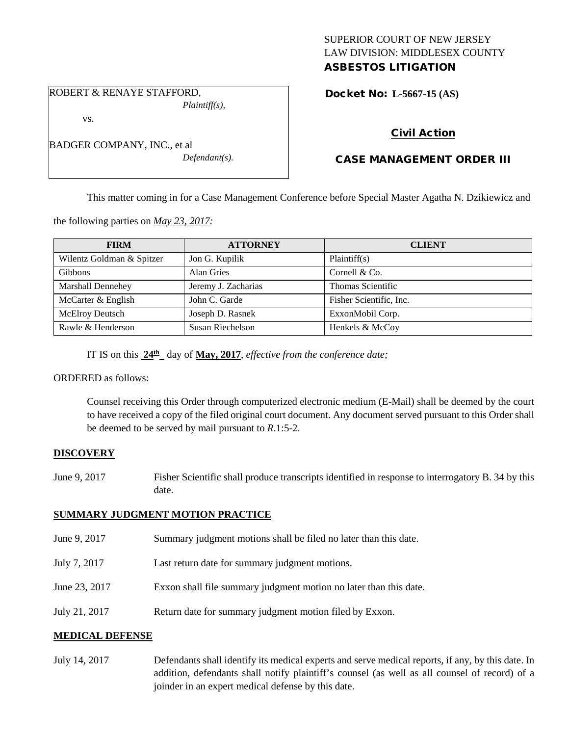## SUPERIOR COURT OF NEW JERSEY LAW DIVISION: MIDDLESEX COUNTY ASBESTOS LITIGATION

ROBERT & RENAYE STAFFORD, *Plaintiff(s),*

BADGER COMPANY, INC., et al

vs.

Docket No: **L-5667-15 (AS)** 

# Civil Action

# CASE MANAGEMENT ORDER III

This matter coming in for a Case Management Conference before Special Master Agatha N. Dzikiewicz and

the following parties on *May 23, 2017:*

| <b>FIRM</b>               | <b>ATTORNEY</b>     | <b>CLIENT</b>           |
|---------------------------|---------------------|-------------------------|
| Wilentz Goldman & Spitzer | Jon G. Kupilik      | Plaintiff(s)            |
| <b>Gibbons</b>            | Alan Gries          | Cornell & Co.           |
| Marshall Dennehey         | Jeremy J. Zacharias | Thomas Scientific       |
| McCarter & English        | John C. Garde       | Fisher Scientific, Inc. |
| <b>McElroy Deutsch</b>    | Joseph D. Rasnek    | ExxonMobil Corp.        |
| Rawle & Henderson         | Susan Riechelson    | Henkels & McCoy         |

IT IS on this  $24^{\text{th}}$  day of May, 2017, *effective from the conference date;* 

*Defendant(s).*

ORDERED as follows:

Counsel receiving this Order through computerized electronic medium (E-Mail) shall be deemed by the court to have received a copy of the filed original court document. Any document served pursuant to this Order shall be deemed to be served by mail pursuant to *R*.1:5-2.

### **DISCOVERY**

June 9, 2017 Fisher Scientific shall produce transcripts identified in response to interrogatory B. 34 by this date.

### **SUMMARY JUDGMENT MOTION PRACTICE**

June 9, 2017 Summary judgment motions shall be filed no later than this date. July 7, 2017 Last return date for summary judgment motions. June 23, 2017 Exxon shall file summary judgment motion no later than this date. July 21, 2017 Return date for summary judgment motion filed by Exxon.

## **MEDICAL DEFENSE**

July 14, 2017 Defendants shall identify its medical experts and serve medical reports, if any, by this date. In addition, defendants shall notify plaintiff's counsel (as well as all counsel of record) of a joinder in an expert medical defense by this date.